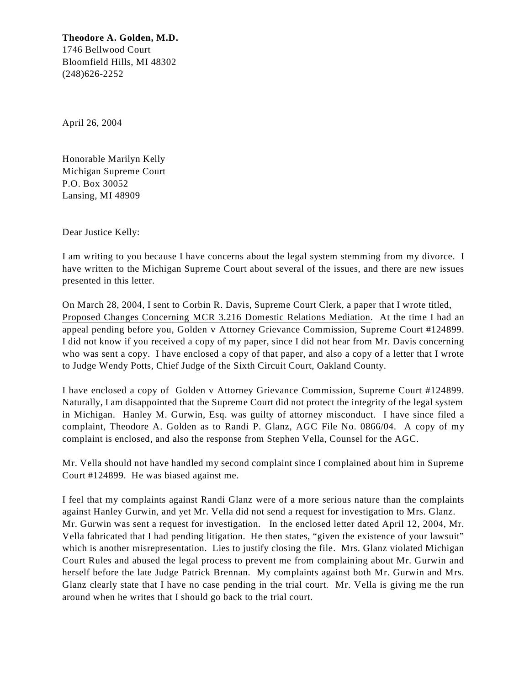**Theodore A. Golden, M.D.** 1746 Bellwood Court Bloomfield Hills, MI 48302 (248)626-2252

April 26, 2004

Honorable Marilyn Kelly Michigan Supreme Court P.O. Box 30052 Lansing, MI 48909

Dear Justice Kelly:

I am writing to you because I have concerns about the legal system stemming from my divorce. I have written to the Michigan Supreme Court about several of the issues, and there are new issues presented in this letter.

On March 28, 2004, I sent to Corbin R. Davis, Supreme Court Clerk, a paper that I wrote titled, Proposed Changes Concerning MCR 3.216 Domestic Relations Mediation. At the time I had an appeal pending before you, Golden v Attorney Grievance Commission, Supreme Court #124899. I did not know if you received a copy of my paper, since I did not hear from Mr. Davis concerning who was sent a copy. I have enclosed a copy of that paper, and also a copy of a letter that I wrote to Judge Wendy Potts, Chief Judge of the Sixth Circuit Court, Oakland County.

I have enclosed a copy of Golden v Attorney Grievance Commission, Supreme Court #124899. Naturally, I am disappointed that the Supreme Court did not protect the integrity of the legal system in Michigan. Hanley M. Gurwin, Esq. was guilty of attorney misconduct. I have since filed a complaint, Theodore A. Golden as to Randi P. Glanz, AGC File No. 0866/04. A copy of my complaint is enclosed, and also the response from Stephen Vella, Counsel for the AGC.

Mr. Vella should not have handled my second complaint since I complained about him in Supreme Court #124899. He was biased against me.

I feel that my complaints against Randi Glanz were of a more serious nature than the complaints against Hanley Gurwin, and yet Mr. Vella did not send a request for investigation to Mrs. Glanz. Mr. Gurwin was sent a request for investigation. In the enclosed letter dated April 12, 2004, Mr. Vella fabricated that I had pending litigation. He then states, "given the existence of your lawsuit" which is another misrepresentation. Lies to justify closing the file. Mrs. Glanz violated Michigan Court Rules and abused the legal process to prevent me from complaining about Mr. Gurwin and herself before the late Judge Patrick Brennan. My complaints against both Mr. Gurwin and Mrs. Glanz clearly state that I have no case pending in the trial court. Mr. Vella is giving me the run around when he writes that I should go back to the trial court.